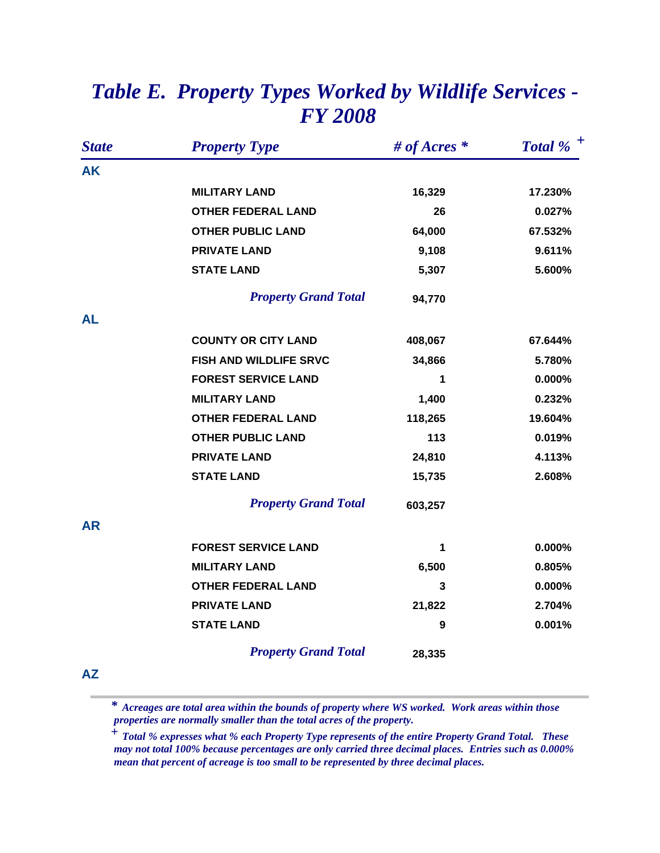| <b>State</b> | <b>Property Type</b>        | # of Acres $*$ | Total % $^+$ |
|--------------|-----------------------------|----------------|--------------|
| <b>AK</b>    |                             |                |              |
|              | <b>MILITARY LAND</b>        | 16,329         | 17.230%      |
|              | <b>OTHER FEDERAL LAND</b>   | 26             | 0.027%       |
|              | <b>OTHER PUBLIC LAND</b>    | 64,000         | 67.532%      |
|              | <b>PRIVATE LAND</b>         | 9,108          | 9.611%       |
|              | <b>STATE LAND</b>           | 5,307          | 5.600%       |
|              | <b>Property Grand Total</b> | 94,770         |              |
| AL           |                             |                |              |
|              | <b>COUNTY OR CITY LAND</b>  | 408,067        | 67.644%      |
|              | FISH AND WILDLIFE SRVC      | 34,866         | 5.780%       |
|              | <b>FOREST SERVICE LAND</b>  | 1              | 0.000%       |
|              | <b>MILITARY LAND</b>        | 1,400          | 0.232%       |
|              | <b>OTHER FEDERAL LAND</b>   | 118,265        | 19.604%      |
|              | <b>OTHER PUBLIC LAND</b>    | 113            | 0.019%       |
|              | <b>PRIVATE LAND</b>         | 24,810         | 4.113%       |
|              | <b>STATE LAND</b>           | 15,735         | 2.608%       |
|              | <b>Property Grand Total</b> | 603,257        |              |
| <b>AR</b>    |                             |                |              |
|              | <b>FOREST SERVICE LAND</b>  | 1              | 0.000%       |
|              | <b>MILITARY LAND</b>        | 6,500          | 0.805%       |
|              | <b>OTHER FEDERAL LAND</b>   | 3              | $0.000\%$    |
|              | <b>PRIVATE LAND</b>         | 21,822         | 2.704%       |
|              | <b>STATE LAND</b>           | 9              | 0.001%       |
|              | <b>Property Grand Total</b> | 28,335         |              |
|              |                             |                |              |

## *Table E. Property Types Worked by Wildlife Services - FY 2008*

**AZ**

 *Acreages are total area within the bounds of property where WS worked. Work areas within those properties are normally smaller than the total acres of the property. \**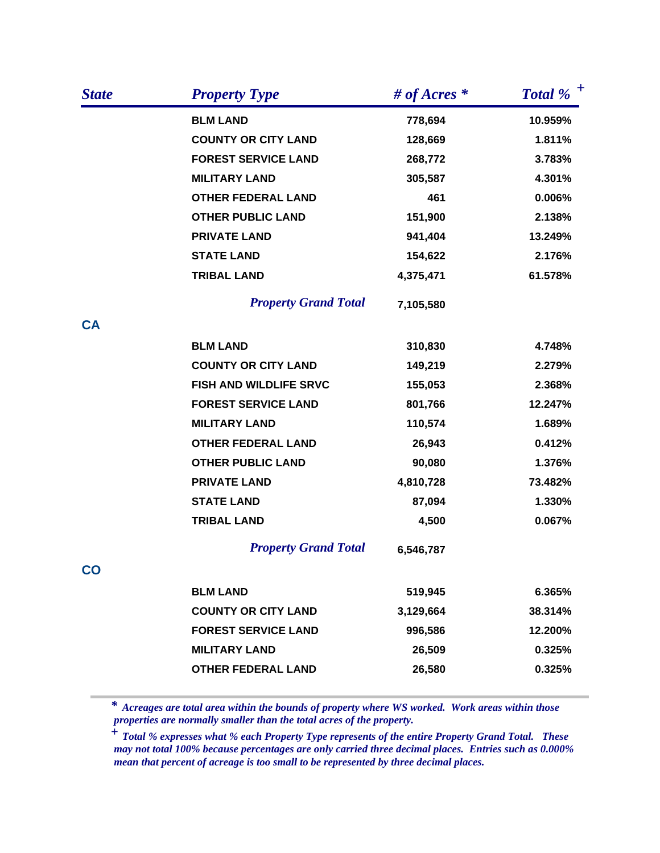| <b>State</b> | <b>Property Type</b>        | # of Acres $*$ | Total % $^+$ |
|--------------|-----------------------------|----------------|--------------|
|              | <b>BLM LAND</b>             | 778,694        | 10.959%      |
|              | <b>COUNTY OR CITY LAND</b>  | 128,669        | 1.811%       |
|              | <b>FOREST SERVICE LAND</b>  | 268,772        | 3.783%       |
|              | <b>MILITARY LAND</b>        | 305,587        | 4.301%       |
|              | <b>OTHER FEDERAL LAND</b>   | 461            | 0.006%       |
|              | <b>OTHER PUBLIC LAND</b>    | 151,900        | 2.138%       |
|              | <b>PRIVATE LAND</b>         | 941,404        | 13.249%      |
|              | <b>STATE LAND</b>           | 154,622        | 2.176%       |
|              | <b>TRIBAL LAND</b>          | 4,375,471      | 61.578%      |
|              | <b>Property Grand Total</b> | 7,105,580      |              |
| <b>CA</b>    |                             |                |              |
|              | <b>BLM LAND</b>             | 310,830        | 4.748%       |
|              | <b>COUNTY OR CITY LAND</b>  | 149,219        | 2.279%       |
|              | FISH AND WILDLIFE SRVC      | 155,053        | 2.368%       |
|              | <b>FOREST SERVICE LAND</b>  | 801,766        | 12.247%      |
|              | <b>MILITARY LAND</b>        | 110,574        | 1.689%       |
|              | <b>OTHER FEDERAL LAND</b>   | 26,943         | 0.412%       |
|              | <b>OTHER PUBLIC LAND</b>    | 90,080         | 1.376%       |
|              | <b>PRIVATE LAND</b>         | 4,810,728      | 73.482%      |
|              | <b>STATE LAND</b>           | 87,094         | 1.330%       |
|              | <b>TRIBAL LAND</b>          | 4,500          | 0.067%       |
|              | <b>Property Grand Total</b> | 6,546,787      |              |
| co           |                             |                |              |
|              | <b>BLM LAND</b>             | 519,945        | 6.365%       |
|              | <b>COUNTY OR CITY LAND</b>  | 3,129,664      | 38.314%      |
|              | <b>FOREST SERVICE LAND</b>  | 996,586        | 12.200%      |
|              | <b>MILITARY LAND</b>        | 26,509         | 0.325%       |
|              | <b>OTHER FEDERAL LAND</b>   | 26,580         | 0.325%       |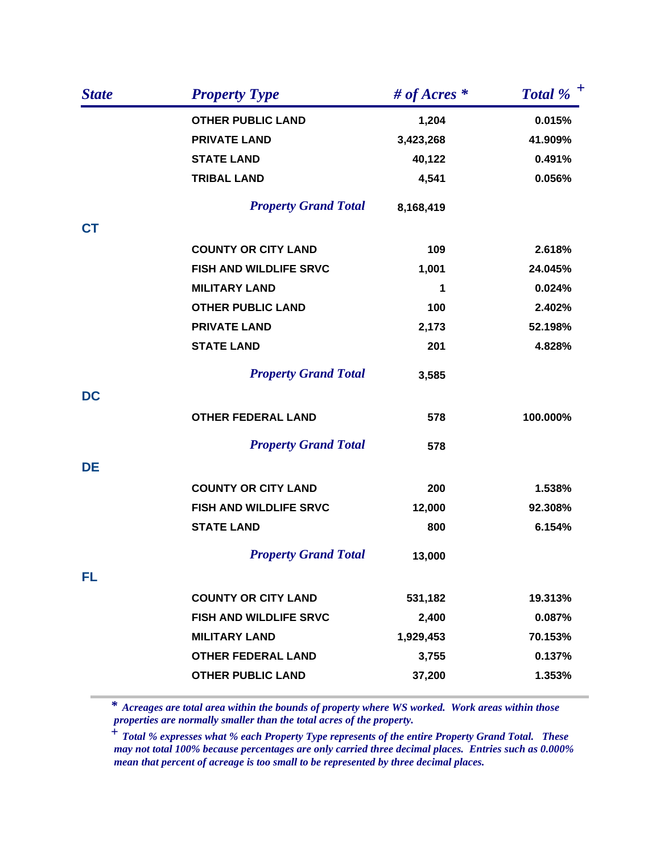| <b>State</b> | <b>Property Type</b>          | # of Acres $*$ | Total % $^+$ |
|--------------|-------------------------------|----------------|--------------|
|              | <b>OTHER PUBLIC LAND</b>      | 1,204          | 0.015%       |
|              | <b>PRIVATE LAND</b>           | 3,423,268      | 41.909%      |
|              | <b>STATE LAND</b>             | 40,122         | 0.491%       |
|              | <b>TRIBAL LAND</b>            | 4,541          | 0.056%       |
|              | <b>Property Grand Total</b>   | 8,168,419      |              |
| <b>CT</b>    |                               |                |              |
|              | <b>COUNTY OR CITY LAND</b>    | 109            | 2.618%       |
|              | FISH AND WILDLIFE SRVC        | 1,001          | 24.045%      |
|              | <b>MILITARY LAND</b>          | 1              | 0.024%       |
|              | <b>OTHER PUBLIC LAND</b>      | 100            | 2.402%       |
|              | <b>PRIVATE LAND</b>           | 2,173          | 52.198%      |
|              | <b>STATE LAND</b>             | 201            | 4.828%       |
|              | <b>Property Grand Total</b>   | 3,585          |              |
| <b>DC</b>    |                               |                |              |
|              | <b>OTHER FEDERAL LAND</b>     | 578            | 100.000%     |
|              | <b>Property Grand Total</b>   | 578            |              |
| DE           |                               |                |              |
|              | <b>COUNTY OR CITY LAND</b>    | 200            | 1.538%       |
|              | FISH AND WILDLIFE SRVC        | 12,000         | 92.308%      |
|              | <b>STATE LAND</b>             | 800            | 6.154%       |
|              | <b>Property Grand Total</b>   | 13,000         |              |
| FL           |                               |                |              |
|              | <b>COUNTY OR CITY LAND</b>    | 531,182        | 19.313%      |
|              | <b>FISH AND WILDLIFE SRVC</b> | 2,400          | 0.087%       |
|              | <b>MILITARY LAND</b>          | 1,929,453      | 70.153%      |
|              | <b>OTHER FEDERAL LAND</b>     | 3,755          | 0.137%       |
|              | <b>OTHER PUBLIC LAND</b>      | 37,200         | 1.353%       |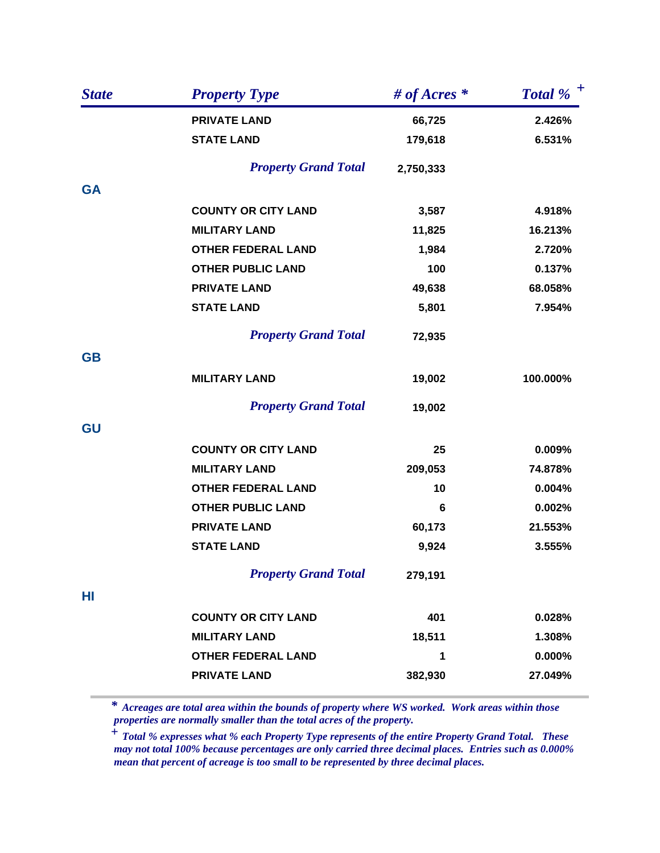| <b>State</b> | <b>Property Type</b>        | # of Acres $*$ | Total % $^+$ |
|--------------|-----------------------------|----------------|--------------|
|              | <b>PRIVATE LAND</b>         | 66,725         | 2.426%       |
|              | <b>STATE LAND</b>           | 179,618        | 6.531%       |
|              | <b>Property Grand Total</b> | 2,750,333      |              |
| <b>GA</b>    |                             |                |              |
|              | <b>COUNTY OR CITY LAND</b>  | 3,587          | 4.918%       |
|              | <b>MILITARY LAND</b>        | 11,825         | 16.213%      |
|              | <b>OTHER FEDERAL LAND</b>   | 1,984          | 2.720%       |
|              | <b>OTHER PUBLIC LAND</b>    | 100            | 0.137%       |
|              | <b>PRIVATE LAND</b>         | 49,638         | 68.058%      |
|              | <b>STATE LAND</b>           | 5,801          | 7.954%       |
|              | <b>Property Grand Total</b> | 72,935         |              |
| <b>GB</b>    |                             |                |              |
|              | <b>MILITARY LAND</b>        | 19,002         | 100.000%     |
|              | <b>Property Grand Total</b> | 19,002         |              |
| GU           |                             |                |              |
|              | <b>COUNTY OR CITY LAND</b>  | 25             | 0.009%       |
|              | <b>MILITARY LAND</b>        | 209,053        | 74.878%      |
|              | <b>OTHER FEDERAL LAND</b>   | 10             | 0.004%       |
|              | <b>OTHER PUBLIC LAND</b>    | 6              | 0.002%       |
|              | <b>PRIVATE LAND</b>         | 60,173         | 21.553%      |
|              | <b>STATE LAND</b>           | 9,924          | 3.555%       |
|              | <b>Property Grand Total</b> | 279,191        |              |
| HI           |                             |                |              |
|              | <b>COUNTY OR CITY LAND</b>  | 401            | 0.028%       |
|              | <b>MILITARY LAND</b>        | 18,511         | 1.308%       |
|              | <b>OTHER FEDERAL LAND</b>   | 1              | $0.000\%$    |
|              | <b>PRIVATE LAND</b>         | 382,930        | 27.049%      |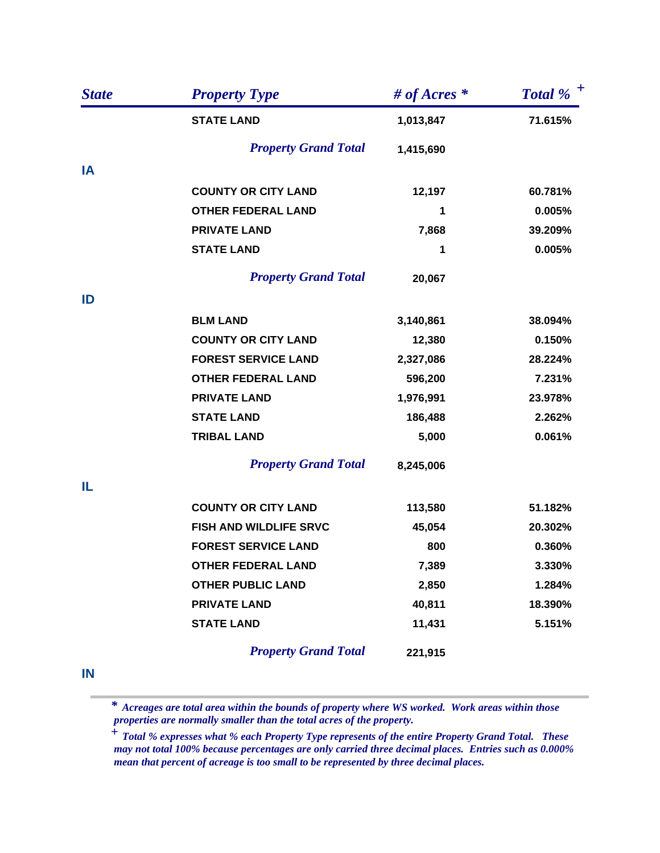| <b>State</b> | <b>Property Type</b>        | # of Acres $*$ | Total % $^+$ |
|--------------|-----------------------------|----------------|--------------|
|              | <b>STATE LAND</b>           | 1,013,847      | 71.615%      |
|              | <b>Property Grand Total</b> | 1,415,690      |              |
| IA           |                             |                |              |
|              | <b>COUNTY OR CITY LAND</b>  | 12,197         | 60.781%      |
|              | <b>OTHER FEDERAL LAND</b>   | 1              | 0.005%       |
|              | <b>PRIVATE LAND</b>         | 7,868          | 39.209%      |
|              | <b>STATE LAND</b>           | 1              | 0.005%       |
|              | <b>Property Grand Total</b> | 20,067         |              |
| ID           |                             |                |              |
|              | <b>BLM LAND</b>             | 3,140,861      | 38.094%      |
|              | <b>COUNTY OR CITY LAND</b>  | 12,380         | 0.150%       |
|              | <b>FOREST SERVICE LAND</b>  | 2,327,086      | 28.224%      |
|              | <b>OTHER FEDERAL LAND</b>   | 596,200        | 7.231%       |
|              | <b>PRIVATE LAND</b>         | 1,976,991      | 23.978%      |
|              | <b>STATE LAND</b>           | 186,488        | 2.262%       |
|              | <b>TRIBAL LAND</b>          | 5,000          | 0.061%       |
|              | <b>Property Grand Total</b> | 8,245,006      |              |
| IL           |                             |                |              |
|              | <b>COUNTY OR CITY LAND</b>  | 113,580        | 51.182%      |
|              | FISH AND WILDLIFE SRVC      | 45,054         | 20.302%      |
|              | <b>FOREST SERVICE LAND</b>  | 800            | 0.360%       |
|              | <b>OTHER FEDERAL LAND</b>   | 7,389          | 3.330%       |
|              | <b>OTHER PUBLIC LAND</b>    | 2,850          | 1.284%       |
|              | <b>PRIVATE LAND</b>         | 40,811         | 18.390%      |
|              | <b>STATE LAND</b>           | 11,431         | 5.151%       |
|              | <b>Property Grand Total</b> | 221,915        |              |

**IN**

 *Acreages are total area within the bounds of property where WS worked. Work areas within those properties are normally smaller than the total acres of the property. \**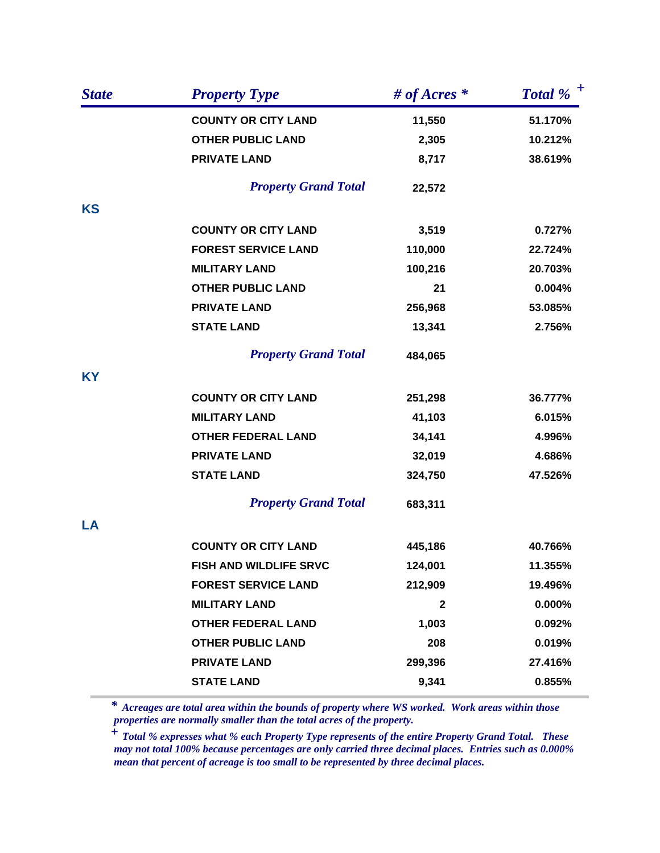| <b>State</b> | <b>Property Type</b>        | # of Acres $*$ | Total % $^+$ |
|--------------|-----------------------------|----------------|--------------|
|              | <b>COUNTY OR CITY LAND</b>  | 11,550         | 51.170%      |
|              | <b>OTHER PUBLIC LAND</b>    | 2,305          | 10.212%      |
|              | <b>PRIVATE LAND</b>         | 8,717          | 38.619%      |
|              | <b>Property Grand Total</b> | 22,572         |              |
| <b>KS</b>    |                             |                |              |
|              | <b>COUNTY OR CITY LAND</b>  | 3,519          | 0.727%       |
|              | <b>FOREST SERVICE LAND</b>  | 110,000        | 22.724%      |
|              | <b>MILITARY LAND</b>        | 100,216        | 20.703%      |
|              | <b>OTHER PUBLIC LAND</b>    | 21             | 0.004%       |
|              | <b>PRIVATE LAND</b>         | 256,968        | 53.085%      |
|              | <b>STATE LAND</b>           | 13,341         | 2.756%       |
|              | <b>Property Grand Total</b> | 484,065        |              |
| <b>KY</b>    |                             |                |              |
|              | <b>COUNTY OR CITY LAND</b>  | 251,298        | 36.777%      |
|              | <b>MILITARY LAND</b>        | 41,103         | 6.015%       |
|              | <b>OTHER FEDERAL LAND</b>   | 34,141         | 4.996%       |
|              | <b>PRIVATE LAND</b>         | 32,019         | 4.686%       |
|              | <b>STATE LAND</b>           | 324,750        | 47.526%      |
|              | <b>Property Grand Total</b> | 683,311        |              |
| LA           |                             |                |              |
|              | <b>COUNTY OR CITY LAND</b>  | 445,186        | 40.766%      |
|              | FISH AND WILDLIFE SRVC      | 124,001        | 11.355%      |
|              | <b>FOREST SERVICE LAND</b>  | 212,909        | 19.496%      |
|              | <b>MILITARY LAND</b>        | $\mathbf{2}$   | 0.000%       |
|              | <b>OTHER FEDERAL LAND</b>   | 1,003          | 0.092%       |
|              | <b>OTHER PUBLIC LAND</b>    | 208            | 0.019%       |
|              | <b>PRIVATE LAND</b>         | 299,396        | 27.416%      |
|              | <b>STATE LAND</b>           | 9,341          | 0.855%       |
|              |                             |                |              |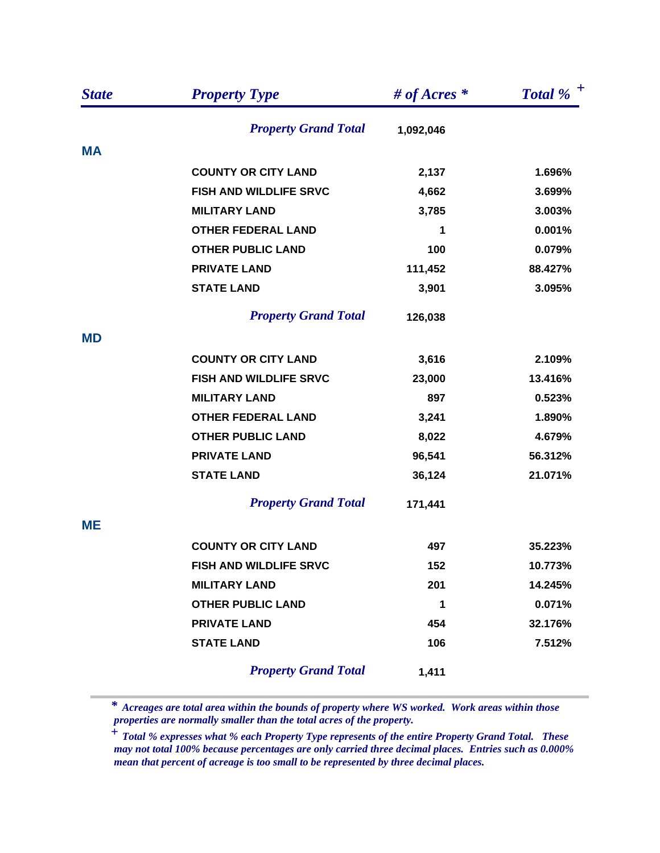| <b>State</b> | <b>Property Type</b>          | # of Acres $*$ | Total % $^+$ |
|--------------|-------------------------------|----------------|--------------|
|              | <b>Property Grand Total</b>   | 1,092,046      |              |
| <b>MA</b>    |                               |                |              |
|              | <b>COUNTY OR CITY LAND</b>    | 2,137          | 1.696%       |
|              | FISH AND WILDLIFE SRVC        | 4,662          | 3.699%       |
|              | <b>MILITARY LAND</b>          | 3,785          | 3.003%       |
|              | <b>OTHER FEDERAL LAND</b>     | 1              | 0.001%       |
|              | <b>OTHER PUBLIC LAND</b>      | 100            | 0.079%       |
|              | <b>PRIVATE LAND</b>           | 111,452        | 88.427%      |
|              | <b>STATE LAND</b>             | 3,901          | 3.095%       |
|              | <b>Property Grand Total</b>   | 126,038        |              |
| <b>MD</b>    |                               |                |              |
|              | <b>COUNTY OR CITY LAND</b>    | 3,616          | 2.109%       |
|              | FISH AND WILDLIFE SRVC        | 23,000         | 13.416%      |
|              | <b>MILITARY LAND</b>          | 897            | 0.523%       |
|              | <b>OTHER FEDERAL LAND</b>     | 3,241          | 1.890%       |
|              | <b>OTHER PUBLIC LAND</b>      | 8,022          | 4.679%       |
|              | <b>PRIVATE LAND</b>           | 96,541         | 56.312%      |
|              | <b>STATE LAND</b>             | 36,124         | 21.071%      |
|              | <b>Property Grand Total</b>   | 171,441        |              |
| <b>ME</b>    |                               |                |              |
|              | <b>COUNTY OR CITY LAND</b>    | 497            | 35.223%      |
|              | <b>FISH AND WILDLIFE SRVC</b> | 152            | 10.773%      |
|              | <b>MILITARY LAND</b>          | 201            | 14.245%      |
|              | <b>OTHER PUBLIC LAND</b>      | $\mathbf 1$    | 0.071%       |
|              | <b>PRIVATE LAND</b>           | 454            | 32.176%      |
|              | <b>STATE LAND</b>             | 106            | 7.512%       |
|              | <b>Property Grand Total</b>   | 1,411          |              |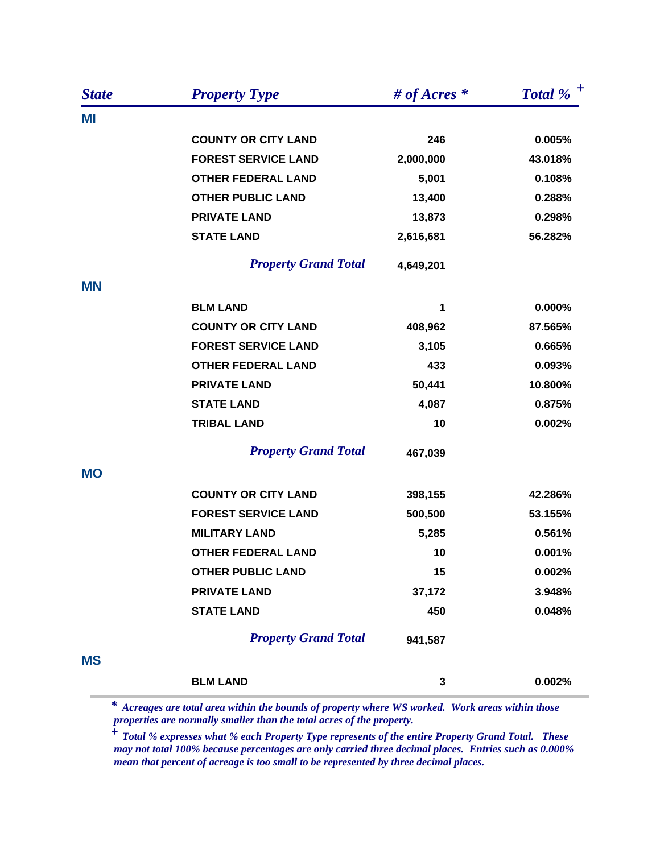| <b>State</b> | <b>Property Type</b>        | # of Acres $*$ | Total % $^+$ |
|--------------|-----------------------------|----------------|--------------|
| ΜI           |                             |                |              |
|              | <b>COUNTY OR CITY LAND</b>  | 246            | 0.005%       |
|              | <b>FOREST SERVICE LAND</b>  | 2,000,000      | 43.018%      |
|              | <b>OTHER FEDERAL LAND</b>   | 5,001          | 0.108%       |
|              | <b>OTHER PUBLIC LAND</b>    | 13,400         | 0.288%       |
|              | <b>PRIVATE LAND</b>         | 13,873         | 0.298%       |
|              | <b>STATE LAND</b>           | 2,616,681      | 56.282%      |
|              | <b>Property Grand Total</b> | 4,649,201      |              |
| <b>MN</b>    |                             |                |              |
|              | <b>BLM LAND</b>             | 1              | 0.000%       |
|              | <b>COUNTY OR CITY LAND</b>  | 408,962        | 87.565%      |
|              | <b>FOREST SERVICE LAND</b>  | 3,105          | 0.665%       |
|              | <b>OTHER FEDERAL LAND</b>   | 433            | 0.093%       |
|              | <b>PRIVATE LAND</b>         | 50,441         | 10.800%      |
|              | <b>STATE LAND</b>           | 4,087          | 0.875%       |
|              | <b>TRIBAL LAND</b>          | 10             | 0.002%       |
|              | <b>Property Grand Total</b> | 467,039        |              |
| <b>MO</b>    |                             |                |              |
|              | <b>COUNTY OR CITY LAND</b>  | 398,155        | 42.286%      |
|              | <b>FOREST SERVICE LAND</b>  | 500,500        | 53.155%      |
|              | <b>MILITARY LAND</b>        | 5,285          | 0.561%       |
|              | <b>OTHER FEDERAL LAND</b>   | 10             | 0.001%       |
|              | <b>OTHER PUBLIC LAND</b>    | 15             | 0.002%       |
|              | <b>PRIVATE LAND</b>         | 37,172         | 3.948%       |
|              | <b>STATE LAND</b>           | 450            | 0.048%       |
|              | <b>Property Grand Total</b> | 941,587        |              |
| <b>MS</b>    |                             |                |              |
|              | <b>BLM LAND</b>             | 3              | 0.002%       |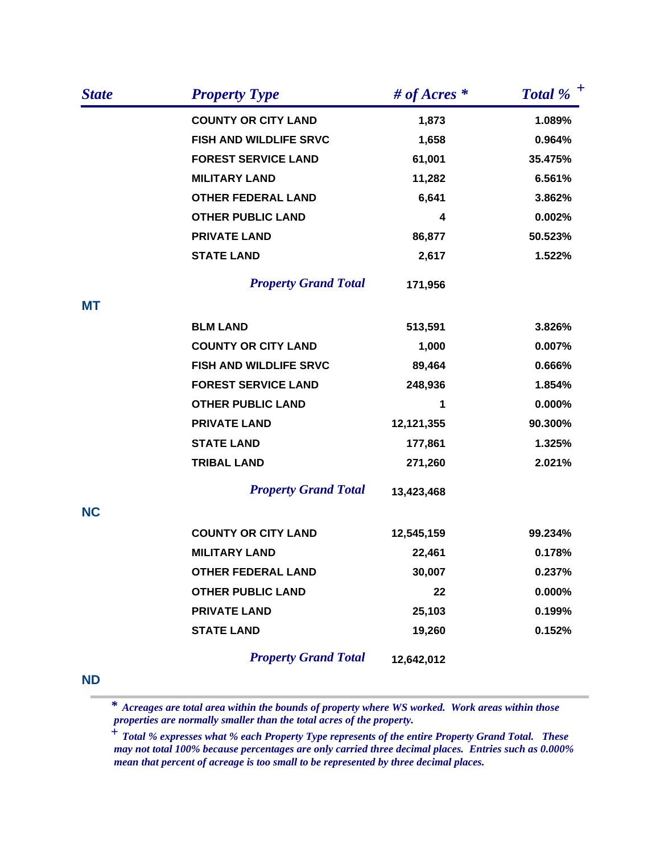| <b>State</b> | <b>Property Type</b>          | # of Acres $*$ | Total % $^+$ |
|--------------|-------------------------------|----------------|--------------|
|              | <b>COUNTY OR CITY LAND</b>    | 1,873          | 1.089%       |
|              | <b>FISH AND WILDLIFE SRVC</b> | 1,658          | 0.964%       |
|              | <b>FOREST SERVICE LAND</b>    | 61,001         | 35.475%      |
|              | <b>MILITARY LAND</b>          | 11,282         | 6.561%       |
|              | <b>OTHER FEDERAL LAND</b>     | 6,641          | 3.862%       |
|              | <b>OTHER PUBLIC LAND</b>      | 4              | 0.002%       |
|              | <b>PRIVATE LAND</b>           | 86,877         | 50.523%      |
|              | <b>STATE LAND</b>             | 2,617          | 1.522%       |
|              | <b>Property Grand Total</b>   | 171,956        |              |
| <b>MT</b>    |                               |                |              |
|              | <b>BLM LAND</b>               | 513,591        | 3.826%       |
|              | <b>COUNTY OR CITY LAND</b>    | 1,000          | 0.007%       |
|              | FISH AND WILDLIFE SRVC        | 89,464         | 0.666%       |
|              | <b>FOREST SERVICE LAND</b>    | 248,936        | 1.854%       |
|              | <b>OTHER PUBLIC LAND</b>      | 1              | 0.000%       |
|              | <b>PRIVATE LAND</b>           | 12,121,355     | 90.300%      |
|              | <b>STATE LAND</b>             | 177,861        | 1.325%       |
|              | <b>TRIBAL LAND</b>            | 271,260        | 2.021%       |
|              | <b>Property Grand Total</b>   | 13,423,468     |              |
| <b>NC</b>    |                               |                |              |
|              | <b>COUNTY OR CITY LAND</b>    | 12,545,159     | 99.234%      |
|              | <b>MILITARY LAND</b>          | 22,461         | 0.178%       |
|              | <b>OTHER FEDERAL LAND</b>     | 30,007         | 0.237%       |
|              | <b>OTHER PUBLIC LAND</b>      | 22             | 0.000%       |
|              | <b>PRIVATE LAND</b>           | 25,103         | 0.199%       |
|              | <b>STATE LAND</b>             | 19,260         | 0.152%       |
|              | <b>Property Grand Total</b>   | 12,642,012     |              |

**ND**

 *Acreages are total area within the bounds of property where WS worked. Work areas within those properties are normally smaller than the total acres of the property. \**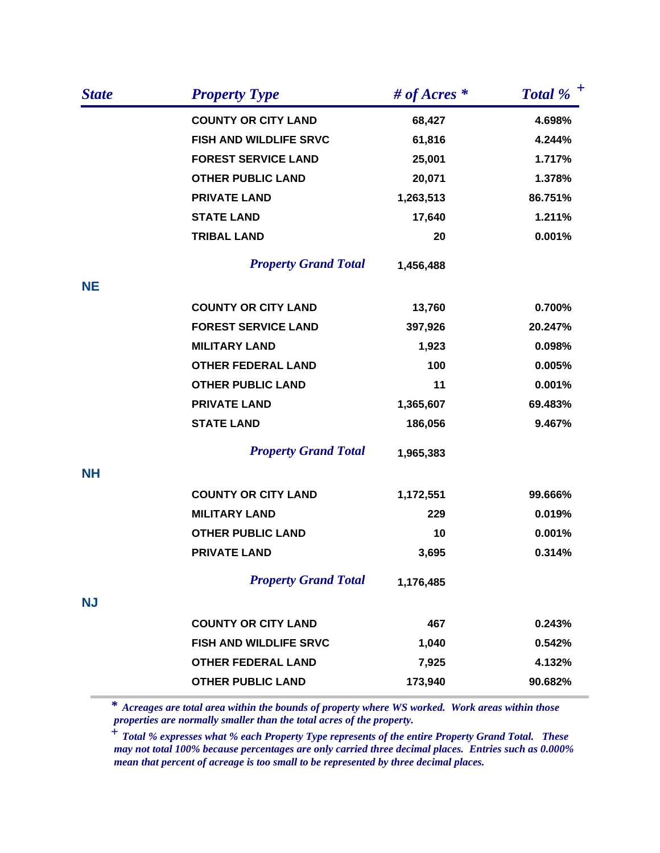| <b>State</b> | <b>Property Type</b>          | # of Acres $*$ | Total % $^+$ |
|--------------|-------------------------------|----------------|--------------|
|              | <b>COUNTY OR CITY LAND</b>    | 68,427         | 4.698%       |
|              | FISH AND WILDLIFE SRVC        | 61,816         | 4.244%       |
|              | <b>FOREST SERVICE LAND</b>    | 25,001         | 1.717%       |
|              | <b>OTHER PUBLIC LAND</b>      | 20,071         | 1.378%       |
|              | <b>PRIVATE LAND</b>           | 1,263,513      | 86.751%      |
|              | <b>STATE LAND</b>             | 17,640         | 1.211%       |
|              | <b>TRIBAL LAND</b>            | 20             | 0.001%       |
|              | <b>Property Grand Total</b>   | 1,456,488      |              |
| <b>NE</b>    |                               |                |              |
|              | <b>COUNTY OR CITY LAND</b>    | 13,760         | 0.700%       |
|              | <b>FOREST SERVICE LAND</b>    | 397,926        | 20.247%      |
|              | <b>MILITARY LAND</b>          | 1,923          | 0.098%       |
|              | <b>OTHER FEDERAL LAND</b>     | 100            | 0.005%       |
|              | <b>OTHER PUBLIC LAND</b>      | 11             | 0.001%       |
|              | <b>PRIVATE LAND</b>           | 1,365,607      | 69.483%      |
|              | <b>STATE LAND</b>             | 186,056        | 9.467%       |
|              | <b>Property Grand Total</b>   | 1,965,383      |              |
| <b>NH</b>    |                               |                |              |
|              | <b>COUNTY OR CITY LAND</b>    | 1,172,551      | 99.666%      |
|              | <b>MILITARY LAND</b>          | 229            | 0.019%       |
|              | <b>OTHER PUBLIC LAND</b>      | 10             | 0.001%       |
|              | <b>PRIVATE LAND</b>           | 3,695          | 0.314%       |
|              | <b>Property Grand Total</b>   | 1,176,485      |              |
| <b>NJ</b>    |                               |                |              |
|              | <b>COUNTY OR CITY LAND</b>    | 467            | 0.243%       |
|              | <b>FISH AND WILDLIFE SRVC</b> | 1,040          | 0.542%       |
|              | <b>OTHER FEDERAL LAND</b>     | 7,925          | 4.132%       |
|              | <b>OTHER PUBLIC LAND</b>      | 173,940        | 90.682%      |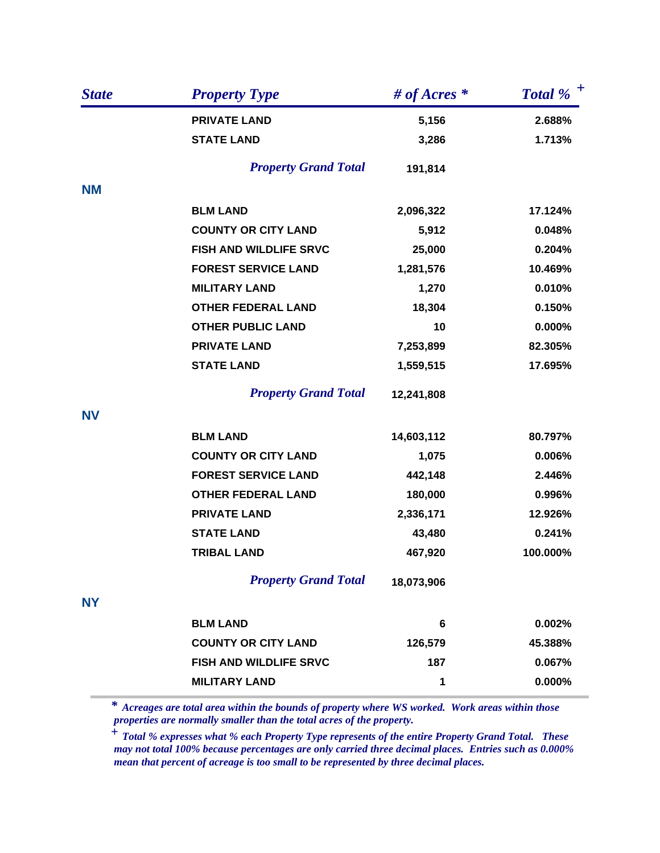| <b>State</b> | <b>Property Type</b>        | # of Acres $*$ | Total % $^+$ |
|--------------|-----------------------------|----------------|--------------|
|              | <b>PRIVATE LAND</b>         | 5,156          | 2.688%       |
|              | <b>STATE LAND</b>           | 3,286          | 1.713%       |
|              | <b>Property Grand Total</b> | 191,814        |              |
| <b>NM</b>    |                             |                |              |
|              | <b>BLM LAND</b>             | 2,096,322      | 17.124%      |
|              | <b>COUNTY OR CITY LAND</b>  | 5,912          | 0.048%       |
|              | FISH AND WILDLIFE SRVC      | 25,000         | 0.204%       |
|              | <b>FOREST SERVICE LAND</b>  | 1,281,576      | 10.469%      |
|              | <b>MILITARY LAND</b>        | 1,270          | 0.010%       |
|              | <b>OTHER FEDERAL LAND</b>   | 18,304         | 0.150%       |
|              | <b>OTHER PUBLIC LAND</b>    | 10             | $0.000\%$    |
|              | <b>PRIVATE LAND</b>         | 7,253,899      | 82.305%      |
|              | <b>STATE LAND</b>           | 1,559,515      | 17.695%      |
|              | <b>Property Grand Total</b> | 12,241,808     |              |
| <b>NV</b>    |                             |                |              |
|              | <b>BLM LAND</b>             | 14,603,112     | 80.797%      |
|              | <b>COUNTY OR CITY LAND</b>  | 1,075          | 0.006%       |
|              | <b>FOREST SERVICE LAND</b>  | 442,148        | 2.446%       |
|              | <b>OTHER FEDERAL LAND</b>   | 180,000        | 0.996%       |
|              | <b>PRIVATE LAND</b>         | 2,336,171      | 12.926%      |
|              | <b>STATE LAND</b>           | 43,480         | 0.241%       |
|              | <b>TRIBAL LAND</b>          | 467,920        | 100.000%     |
|              | <b>Property Grand Total</b> | 18,073,906     |              |
| <b>NY</b>    |                             |                |              |
|              | <b>BLM LAND</b>             | 6              | 0.002%       |
|              | <b>COUNTY OR CITY LAND</b>  | 126,579        | 45.388%      |
|              | FISH AND WILDLIFE SRVC      | 187            | 0.067%       |
|              | <b>MILITARY LAND</b>        | 1              | 0.000%       |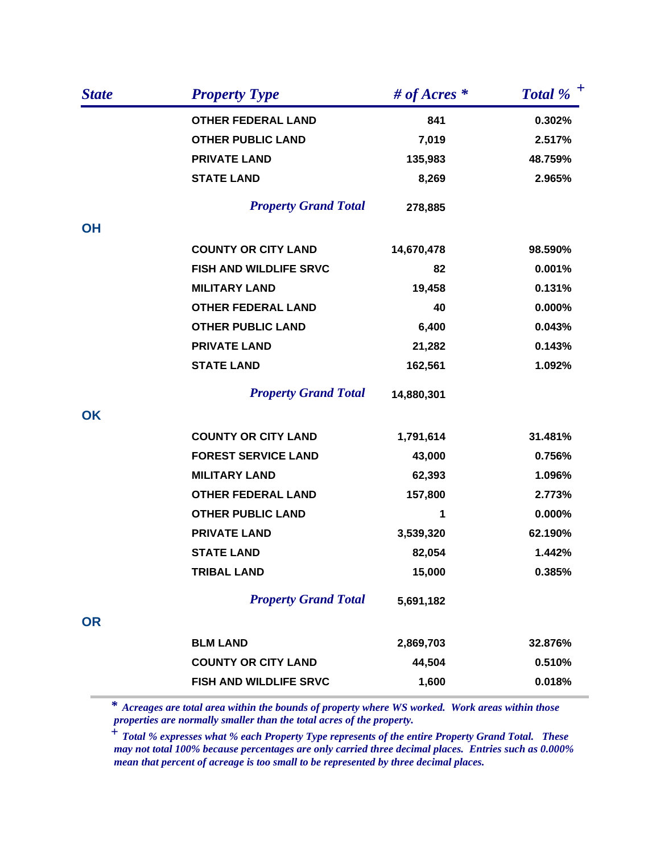| <b>State</b> | <b>Property Type</b>          | # of Acres $*$ | Total % $^+$ |
|--------------|-------------------------------|----------------|--------------|
|              | <b>OTHER FEDERAL LAND</b>     | 841            | 0.302%       |
|              | <b>OTHER PUBLIC LAND</b>      | 7,019          | 2.517%       |
|              | <b>PRIVATE LAND</b>           | 135,983        | 48.759%      |
|              | <b>STATE LAND</b>             | 8,269          | 2.965%       |
|              | <b>Property Grand Total</b>   | 278,885        |              |
| <b>OH</b>    |                               |                |              |
|              | <b>COUNTY OR CITY LAND</b>    | 14,670,478     | 98.590%      |
|              | <b>FISH AND WILDLIFE SRVC</b> | 82             | 0.001%       |
|              | <b>MILITARY LAND</b>          | 19,458         | 0.131%       |
|              | <b>OTHER FEDERAL LAND</b>     | 40             | 0.000%       |
|              | <b>OTHER PUBLIC LAND</b>      | 6,400          | 0.043%       |
|              | <b>PRIVATE LAND</b>           | 21,282         | 0.143%       |
|              | <b>STATE LAND</b>             | 162,561        | 1.092%       |
|              | <b>Property Grand Total</b>   | 14,880,301     |              |
| OK           |                               |                |              |
|              | <b>COUNTY OR CITY LAND</b>    | 1,791,614      | 31.481%      |
|              | <b>FOREST SERVICE LAND</b>    | 43,000         | 0.756%       |
|              | <b>MILITARY LAND</b>          | 62,393         | 1.096%       |
|              | <b>OTHER FEDERAL LAND</b>     | 157,800        | 2.773%       |
|              | <b>OTHER PUBLIC LAND</b>      | 1              | $0.000\%$    |
|              | <b>PRIVATE LAND</b>           | 3,539,320      | 62.190%      |
|              | <b>STATE LAND</b>             | 82,054         | 1.442%       |
|              | <b>TRIBAL LAND</b>            | 15,000         | 0.385%       |
|              | <b>Property Grand Total</b>   | 5,691,182      |              |
| <b>OR</b>    |                               |                |              |
|              | <b>BLM LAND</b>               | 2,869,703      | 32.876%      |
|              | <b>COUNTY OR CITY LAND</b>    | 44,504         | 0.510%       |
|              | <b>FISH AND WILDLIFE SRVC</b> | 1,600          | 0.018%       |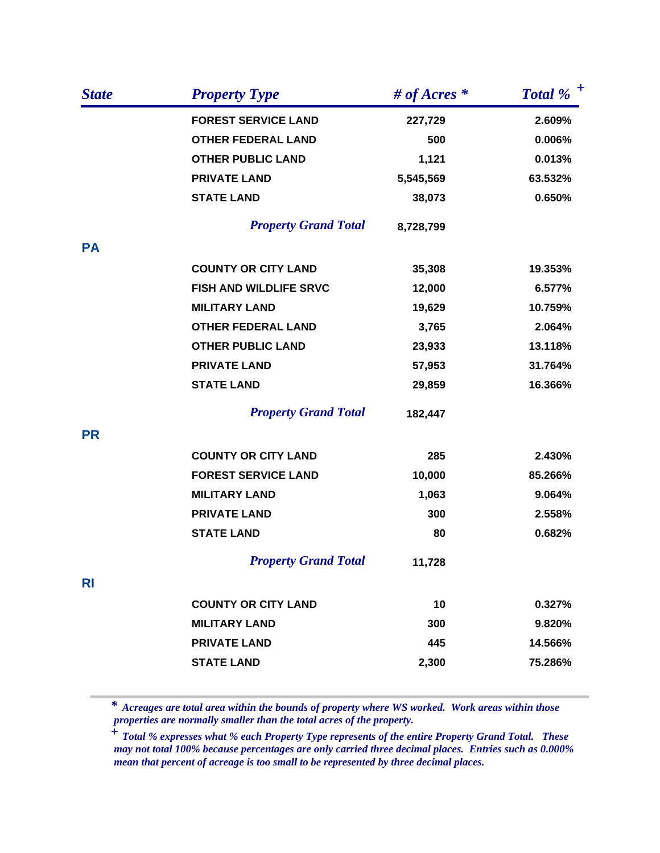| <b>State</b> | <b>Property Type</b>        | # of Acres $*$ | Total % $^+$ |
|--------------|-----------------------------|----------------|--------------|
|              | <b>FOREST SERVICE LAND</b>  | 227,729        | 2.609%       |
|              | <b>OTHER FEDERAL LAND</b>   | 500            | 0.006%       |
|              | <b>OTHER PUBLIC LAND</b>    | 1,121          | 0.013%       |
|              | <b>PRIVATE LAND</b>         | 5,545,569      | 63.532%      |
|              | <b>STATE LAND</b>           | 38,073         | 0.650%       |
|              | <b>Property Grand Total</b> | 8,728,799      |              |
| <b>PA</b>    |                             |                |              |
|              | <b>COUNTY OR CITY LAND</b>  | 35,308         | 19.353%      |
|              | FISH AND WILDLIFE SRVC      | 12,000         | 6.577%       |
|              | <b>MILITARY LAND</b>        | 19,629         | 10.759%      |
|              | <b>OTHER FEDERAL LAND</b>   | 3,765          | 2.064%       |
|              | <b>OTHER PUBLIC LAND</b>    | 23,933         | 13.118%      |
|              | <b>PRIVATE LAND</b>         | 57,953         | 31.764%      |
|              | <b>STATE LAND</b>           | 29,859         | 16.366%      |
|              | <b>Property Grand Total</b> | 182,447        |              |
| <b>PR</b>    |                             |                |              |
|              | <b>COUNTY OR CITY LAND</b>  | 285            | 2.430%       |
|              | <b>FOREST SERVICE LAND</b>  | 10,000         | 85.266%      |
|              | <b>MILITARY LAND</b>        | 1,063          | 9.064%       |
|              | <b>PRIVATE LAND</b>         | 300            | 2.558%       |
|              | <b>STATE LAND</b>           | 80             | 0.682%       |
|              | <b>Property Grand Total</b> | 11,728         |              |
| <b>RI</b>    |                             |                |              |
|              | <b>COUNTY OR CITY LAND</b>  | 10             | 0.327%       |
|              | <b>MILITARY LAND</b>        | 300            | 9.820%       |
|              | <b>PRIVATE LAND</b>         | 445            | 14.566%      |
|              | <b>STATE LAND</b>           | 2,300          | 75.286%      |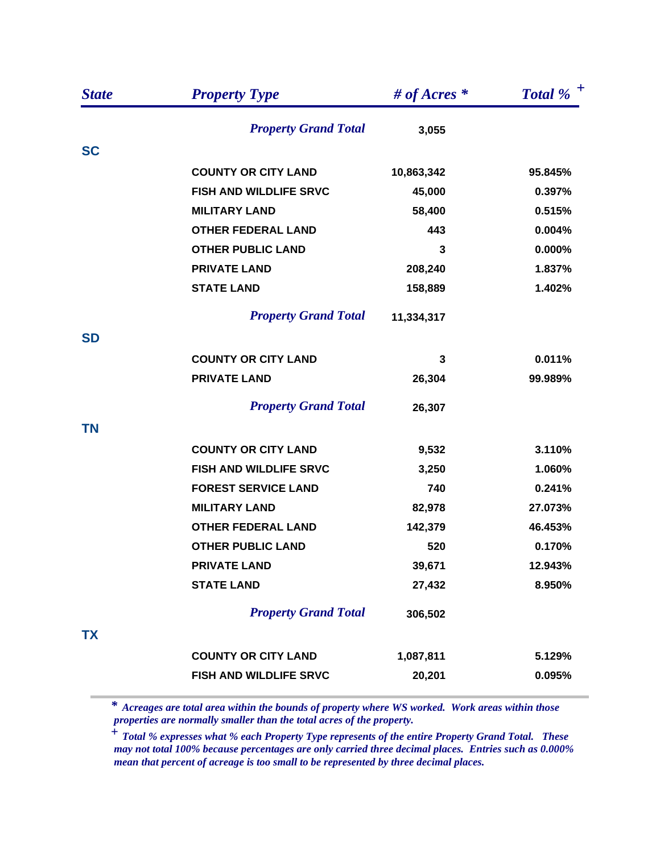| <b>State</b> | <b>Property Type</b>          | # of Acres $*$ | Total % $^+$ |
|--------------|-------------------------------|----------------|--------------|
|              | <b>Property Grand Total</b>   | 3,055          |              |
| <b>SC</b>    |                               |                |              |
|              | <b>COUNTY OR CITY LAND</b>    | 10,863,342     | 95.845%      |
|              | <b>FISH AND WILDLIFE SRVC</b> | 45,000         | 0.397%       |
|              | <b>MILITARY LAND</b>          | 58,400         | 0.515%       |
|              | <b>OTHER FEDERAL LAND</b>     | 443            | 0.004%       |
|              | <b>OTHER PUBLIC LAND</b>      | 3              | 0.000%       |
|              | <b>PRIVATE LAND</b>           | 208,240        | 1.837%       |
|              | <b>STATE LAND</b>             | 158,889        | 1.402%       |
|              | <b>Property Grand Total</b>   | 11,334,317     |              |
| <b>SD</b>    |                               |                |              |
|              | <b>COUNTY OR CITY LAND</b>    | 3              | 0.011%       |
|              | <b>PRIVATE LAND</b>           | 26,304         | 99.989%      |
|              | <b>Property Grand Total</b>   | 26,307         |              |
| <b>TN</b>    |                               |                |              |
|              | <b>COUNTY OR CITY LAND</b>    | 9,532          | 3.110%       |
|              | FISH AND WILDLIFE SRVC        | 3,250          | 1.060%       |
|              | <b>FOREST SERVICE LAND</b>    | 740            | 0.241%       |
|              | <b>MILITARY LAND</b>          | 82,978         | 27.073%      |
|              | <b>OTHER FEDERAL LAND</b>     | 142,379        | 46.453%      |
|              | <b>OTHER PUBLIC LAND</b>      | 520            | 0.170%       |
|              | <b>PRIVATE LAND</b>           | 39,671         | 12.943%      |
|              | <b>STATE LAND</b>             | 27,432         | 8.950%       |
|              | <b>Property Grand Total</b>   | 306,502        |              |
| <b>TX</b>    |                               |                |              |
|              | <b>COUNTY OR CITY LAND</b>    | 1,087,811      | 5.129%       |
|              | FISH AND WILDLIFE SRVC        | 20,201         | 0.095%       |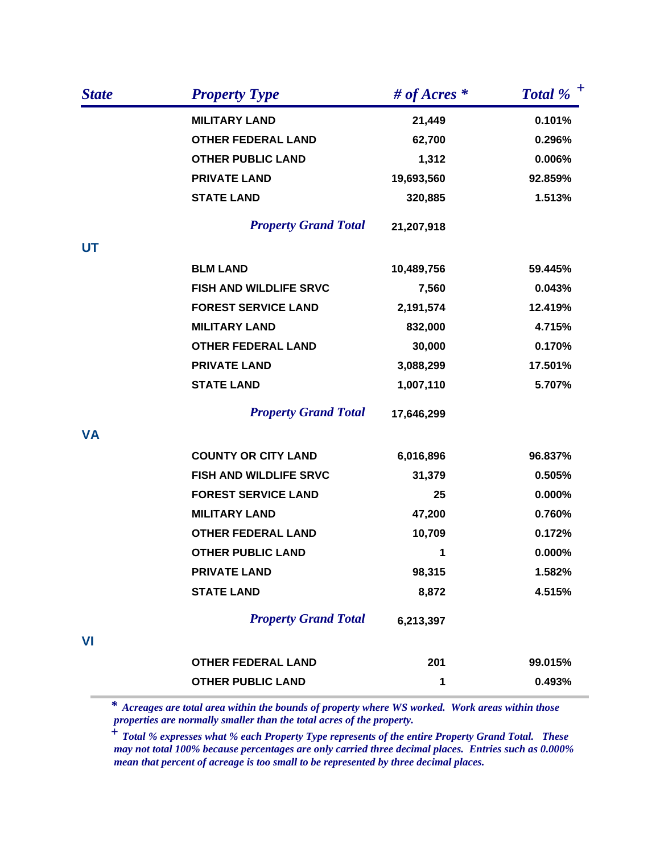| <b>State</b> | <b>Property Type</b>        | # of Acres $*$ | Total % $^+$ |
|--------------|-----------------------------|----------------|--------------|
|              | <b>MILITARY LAND</b>        | 21,449         | 0.101%       |
|              | <b>OTHER FEDERAL LAND</b>   | 62,700         | 0.296%       |
|              | <b>OTHER PUBLIC LAND</b>    | 1,312          | 0.006%       |
|              | <b>PRIVATE LAND</b>         | 19,693,560     | 92.859%      |
|              | <b>STATE LAND</b>           | 320,885        | 1.513%       |
|              | <b>Property Grand Total</b> | 21,207,918     |              |
| <b>UT</b>    |                             |                |              |
|              | <b>BLM LAND</b>             | 10,489,756     | 59.445%      |
|              | FISH AND WILDLIFE SRVC      | 7,560          | 0.043%       |
|              | <b>FOREST SERVICE LAND</b>  | 2,191,574      | 12.419%      |
|              | <b>MILITARY LAND</b>        | 832,000        | 4.715%       |
|              | <b>OTHER FEDERAL LAND</b>   | 30,000         | 0.170%       |
|              | <b>PRIVATE LAND</b>         | 3,088,299      | 17.501%      |
|              | <b>STATE LAND</b>           | 1,007,110      | 5.707%       |
|              | <b>Property Grand Total</b> | 17,646,299     |              |
| <b>VA</b>    |                             |                |              |
|              | <b>COUNTY OR CITY LAND</b>  | 6,016,896      | 96.837%      |
|              | FISH AND WILDLIFE SRVC      | 31,379         | 0.505%       |
|              | <b>FOREST SERVICE LAND</b>  | 25             | 0.000%       |
|              | <b>MILITARY LAND</b>        | 47,200         | 0.760%       |
|              | <b>OTHER FEDERAL LAND</b>   | 10,709         | 0.172%       |
|              | <b>OTHER PUBLIC LAND</b>    | 1              | 0.000%       |
|              | <b>PRIVATE LAND</b>         | 98,315         | 1.582%       |
|              | <b>STATE LAND</b>           | 8,872          | 4.515%       |
|              | <b>Property Grand Total</b> | 6,213,397      |              |
| VI           |                             |                |              |
|              | <b>OTHER FEDERAL LAND</b>   | 201            | 99.015%      |
|              | <b>OTHER PUBLIC LAND</b>    | 1              | 0.493%       |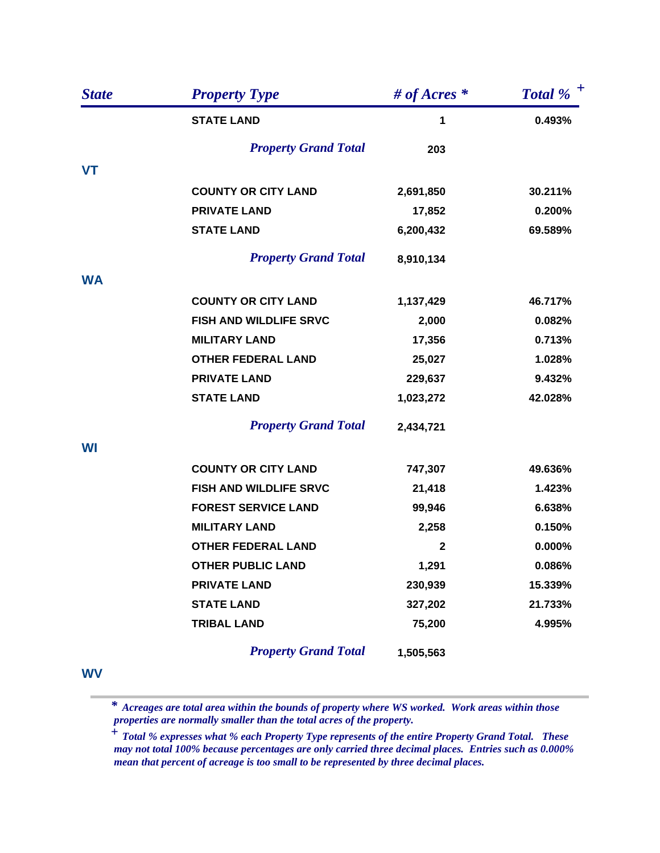| <b>State</b> | <b>Property Type</b>          | # of Acres $*$ | Total % $^+$ |
|--------------|-------------------------------|----------------|--------------|
|              | <b>STATE LAND</b>             | 1              | 0.493%       |
|              | <b>Property Grand Total</b>   | 203            |              |
| <b>VT</b>    |                               |                |              |
|              | <b>COUNTY OR CITY LAND</b>    | 2,691,850      | 30.211%      |
|              | <b>PRIVATE LAND</b>           | 17,852         | 0.200%       |
|              | <b>STATE LAND</b>             | 6,200,432      | 69.589%      |
|              | <b>Property Grand Total</b>   | 8,910,134      |              |
| <b>WA</b>    |                               |                |              |
|              | <b>COUNTY OR CITY LAND</b>    | 1,137,429      | 46.717%      |
|              | <b>FISH AND WILDLIFE SRVC</b> | 2,000          | 0.082%       |
|              | <b>MILITARY LAND</b>          | 17,356         | 0.713%       |
|              | <b>OTHER FEDERAL LAND</b>     | 25,027         | 1.028%       |
|              | <b>PRIVATE LAND</b>           | 229,637        | 9.432%       |
|              | <b>STATE LAND</b>             | 1,023,272      | 42.028%      |
|              | <b>Property Grand Total</b>   | 2,434,721      |              |
| WI           |                               |                |              |
|              | <b>COUNTY OR CITY LAND</b>    | 747,307        | 49.636%      |
|              | <b>FISH AND WILDLIFE SRVC</b> | 21,418         | 1.423%       |
|              | <b>FOREST SERVICE LAND</b>    | 99,946         | 6.638%       |
|              | <b>MILITARY LAND</b>          | 2,258          | 0.150%       |
|              | <b>OTHER FEDERAL LAND</b>     | $\mathbf{2}$   | 0.000%       |
|              | <b>OTHER PUBLIC LAND</b>      | 1,291          | 0.086%       |
|              | <b>PRIVATE LAND</b>           | 230,939        | 15.339%      |
|              | <b>STATE LAND</b>             | 327,202        | 21.733%      |
|              | <b>TRIBAL LAND</b>            | 75,200         | 4.995%       |
|              | <b>Property Grand Total</b>   | 1,505,563      |              |

**WV**

 *Acreages are total area within the bounds of property where WS worked. Work areas within those properties are normally smaller than the total acres of the property. \**